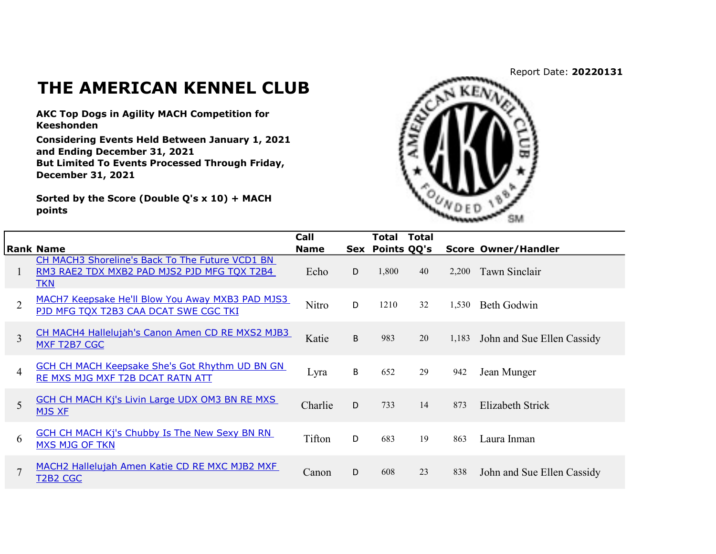Report Date: 20220131

## THE AMERICAN KENNEL CLUB

AKC Top Dogs in Agility MACH Competition for Keeshonden

Considering Events Held Between January 1, 2021 and Ending December 31, 2021 But Limited To Events Processed Through Friday, December 31, 2021

Sorted by the Score (Double Q's x 10) + MACH points



|                |                                                                                                              | Call        |     | Total       | <b>Total</b> |       |                            |
|----------------|--------------------------------------------------------------------------------------------------------------|-------------|-----|-------------|--------------|-------|----------------------------|
|                | <b>Rank Name</b>                                                                                             | <b>Name</b> | Sex | Points QQ's |              |       | <b>Score Owner/Handler</b> |
|                | CH MACH3 Shoreline's Back To The Future VCD1 BN<br>RM3 RAE2 TDX MXB2 PAD MJS2 PJD MFG TQX T2B4<br><b>TKN</b> | Echo        | D   | 1,800       | 40           | 2.200 | Tawn Sinclair              |
| $\overline{2}$ | MACH7 Keepsake He'll Blow You Away MXB3 PAD MJS3<br>PJD MFG TQX T2B3 CAA DCAT SWE CGC TKI                    | Nitro       | D   | 1210        | 32           | 1,530 | Beth Godwin                |
| 3              | CH MACH4 Hallelujah's Canon Amen CD RE MXS2 MJB3<br>MXF T2B7 CGC                                             | Katie       | B   | 983         | 20           | 1,183 | John and Sue Ellen Cassidy |
| 4              | <b>GCH CH MACH Keepsake She's Got Rhythm UD BN GN</b><br>RE MXS MJG MXF T2B DCAT RATN ATT                    | Lyra        | B   | 652         | 29           | 942   | Jean Munger                |
| 5              | <b>GCH CH MACH Kj's Livin Large UDX OM3 BN RE MXS</b><br><b>MJS XF</b>                                       | Charlie     | D   | 733         | 14           | 873   | Elizabeth Strick           |
| 6              | <b>GCH CH MACH Kj's Chubby Is The New Sexy BN RN</b><br><b>MXS MJG OF TKN</b>                                | Tifton      | D   | 683         | 19           | 863   | Laura Inman                |
| 7              | MACH2 Hallelujah Amen Katie CD RE MXC MJB2 MXF<br>T2B2 CGC                                                   | Canon       | D   | 608         | 23           | 838   | John and Sue Ellen Cassidy |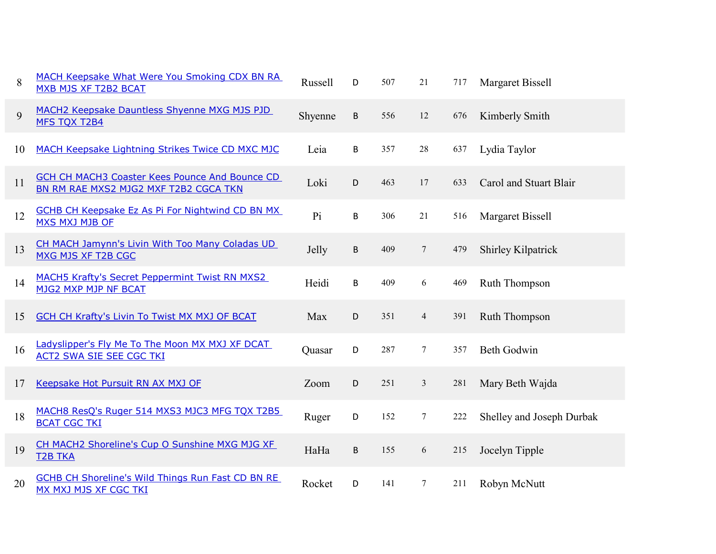| 8  | MACH Keepsake What Were You Smoking CDX BN RA<br>MXB MJS XF T2B2 BCAT                          | <b>Russell</b> | D       | 507 | 21              | 717 | <b>Margaret Bissell</b>   |
|----|------------------------------------------------------------------------------------------------|----------------|---------|-----|-----------------|-----|---------------------------|
| 9  | MACH2 Keepsake Dauntless Shyenne MXG MJS PJD<br><b>MFS TOX T2B4</b>                            | Shyenne        | B       | 556 | 12              | 676 | Kimberly Smith            |
| 10 | MACH Keepsake Lightning Strikes Twice CD MXC MJC                                               | Leia           | B       | 357 | 28              | 637 | Lydia Taylor              |
| 11 | <b>GCH CH MACH3 Coaster Kees Pounce And Bounce CD</b><br>BN RM RAE MXS2 MJG2 MXF T2B2 CGCA TKN | Loki           | D       | 463 | 17              | 633 | Carol and Stuart Blair    |
| 12 | <b>GCHB CH Keepsake Ez As Pi For Nightwind CD BN MX</b><br><b>MXS MXJ MJB OF</b>               | Pi             | B       | 306 | 21              | 516 | Margaret Bissell          |
| 13 | CH MACH Jamynn's Livin With Too Many Coladas UD<br><b>MXG MJS XF T2B CGC</b>                   | Jelly          | $\sf B$ | 409 | $\overline{7}$  | 479 | Shirley Kilpatrick        |
| 14 | <b>MACH5 Krafty's Secret Peppermint Twist RN MXS2</b><br><b>MJG2 MXP MJP NF BCAT</b>           | Heidi          | B       | 409 | 6               | 469 | Ruth Thompson             |
| 15 | <b>GCH CH Krafty's Livin To Twist MX MXJ OF BCAT</b>                                           | Max            | D       | 351 | $\overline{4}$  | 391 | <b>Ruth Thompson</b>      |
| 16 | Ladyslipper's Fly Me To The Moon MX MXJ XF DCAT<br><b>ACT2 SWA SIE SEE CGC TKI</b>             | Quasar         | D       | 287 | $\tau$          | 357 | <b>Beth Godwin</b>        |
| 17 | Keepsake Hot Pursuit RN AX MXJ OF                                                              | Zoom           | D       | 251 | $\mathfrak{Z}$  | 281 | Mary Beth Wajda           |
| 18 | MACH8 ResQ's Ruger 514 MXS3 MJC3 MFG TQX T2B5<br><b>BCAT CGC TKI</b>                           | Ruger          | D       | 152 | $\tau$          | 222 | Shelley and Joseph Durbak |
| 19 | CH MACH2 Shoreline's Cup O Sunshine MXG MJG XF<br><b>T2B TKA</b>                               | HaHa           | $\sf B$ | 155 | 6               | 215 | Jocelyn Tipple            |
| 20 | <b>GCHB CH Shoreline's Wild Things Run Fast CD BN RE</b><br><b>MX MXJ MJS XF CGC TKI</b>       | Rocket         | D       | 141 | $7\phantom{.0}$ | 211 | Robyn McNutt              |